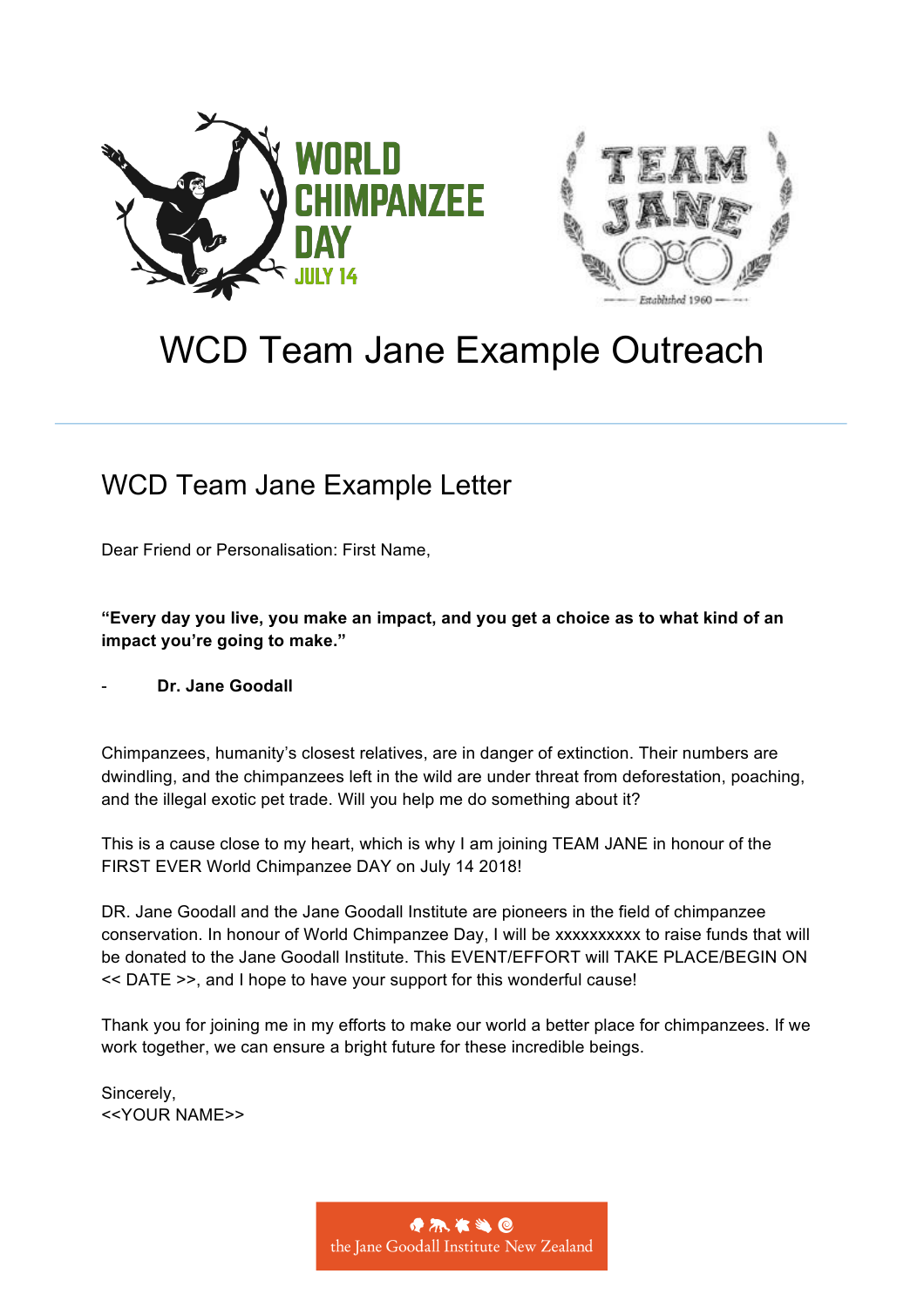



# WCD Team Jane Example Outreach

## WCD Team Jane Example Letter

Dear Friend or Personalisation: First Name,

**"Every day you live, you make an impact, and you get a choice as to what kind of an impact you're going to make."**

### - **Dr. Jane Goodall**

Chimpanzees, humanity's closest relatives, are in danger of extinction. Their numbers are dwindling, and the chimpanzees left in the wild are under threat from deforestation, poaching, and the illegal exotic pet trade. Will you help me do something about it?

This is a cause close to my heart, which is why I am joining TEAM JANE in honour of the FIRST EVER World Chimpanzee DAY on July 14 2018!

DR. Jane Goodall and the Jane Goodall Institute are pioneers in the field of chimpanzee conservation. In honour of World Chimpanzee Day, I will be xxxxxxxxxx to raise funds that will be donated to the Jane Goodall Institute. This EVENT/EFFORT will TAKE PLACE/BEGIN ON << DATE >>, and I hope to have your support for this wonderful cause!

Thank you for joining me in my efforts to make our world a better place for chimpanzees. If we work together, we can ensure a bright future for these incredible beings.

Sincerely, <<YOUR NAME>>

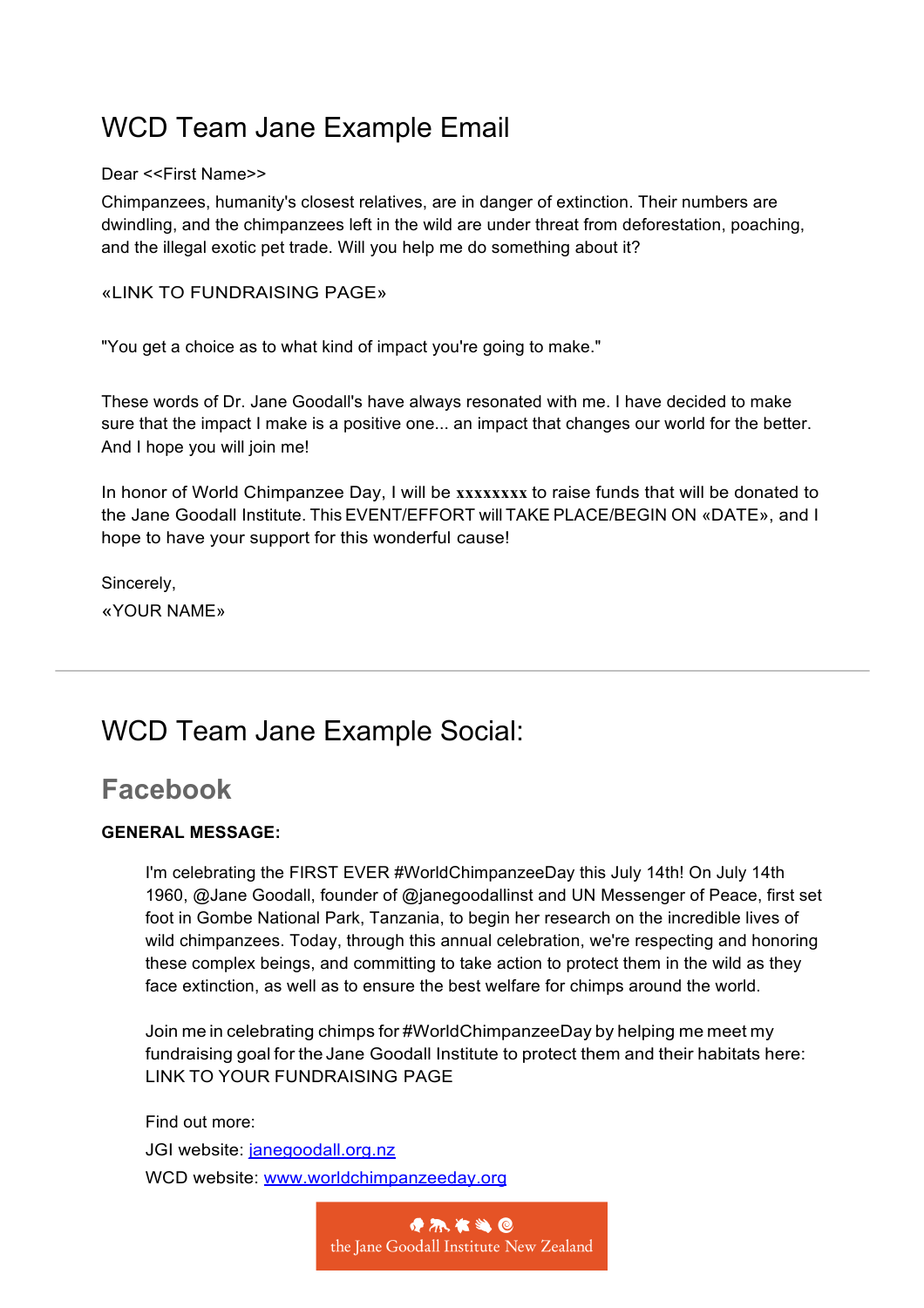## WCD Team Jane Example Email

### Dear <<First Name>>

Chimpanzees, humanity's closest relatives, are in danger of extinction. Their numbers are dwindling, and the chimpanzees left in the wild are under threat from deforestation, poaching, and the illegal exotic pet trade. Will you help me do something about it?

### «LINK TO FUNDRAISING PAGE»

"You get a choice as to what kind of impact you're going to make."

These words of Dr. Jane Goodall's have always resonated with me. I have decided to make sure that the impact I make is a positive one... an impact that changes our world for the better. And I hope you will join me!

In honor of World Chimpanzee Day, I will be **xxxxxxxx** to raise funds that will be donated to the Jane Goodall Institute. This EVENT/EFFORT will TAKE PLACE/BEGIN ON «DATE», and I hope to have your support for this wonderful cause!

Sincerely, «YOUR NAME»

## WCD Team Jane Example Social:

### **Facebook**

### **GENERAL MESSAGE:**

I'm celebrating the FIRST EVER #WorldChimpanzeeDay this July 14th! On July 14th 1960, @Jane Goodall, founder of @janegoodallinst and UN Messenger of Peace, first set foot in Gombe National Park, Tanzania, to begin her research on the incredible lives of wild chimpanzees. Today, through this annual celebration, we're respecting and honoring these complex beings, and committing to take action to protect them in the wild as they face extinction, as well as to ensure the best welfare for chimps around the world.

Join me in celebrating chimps for #WorldChimpanzeeDay by helping me meet my fundraising goal for the Jane Goodall Institute to protect them and their habitats here: LINK TO YOUR FUNDRAISING PAGE

Find out more: JGI website: janegoodall.org.nz WCD website: www.worldchimpanzeeday.org

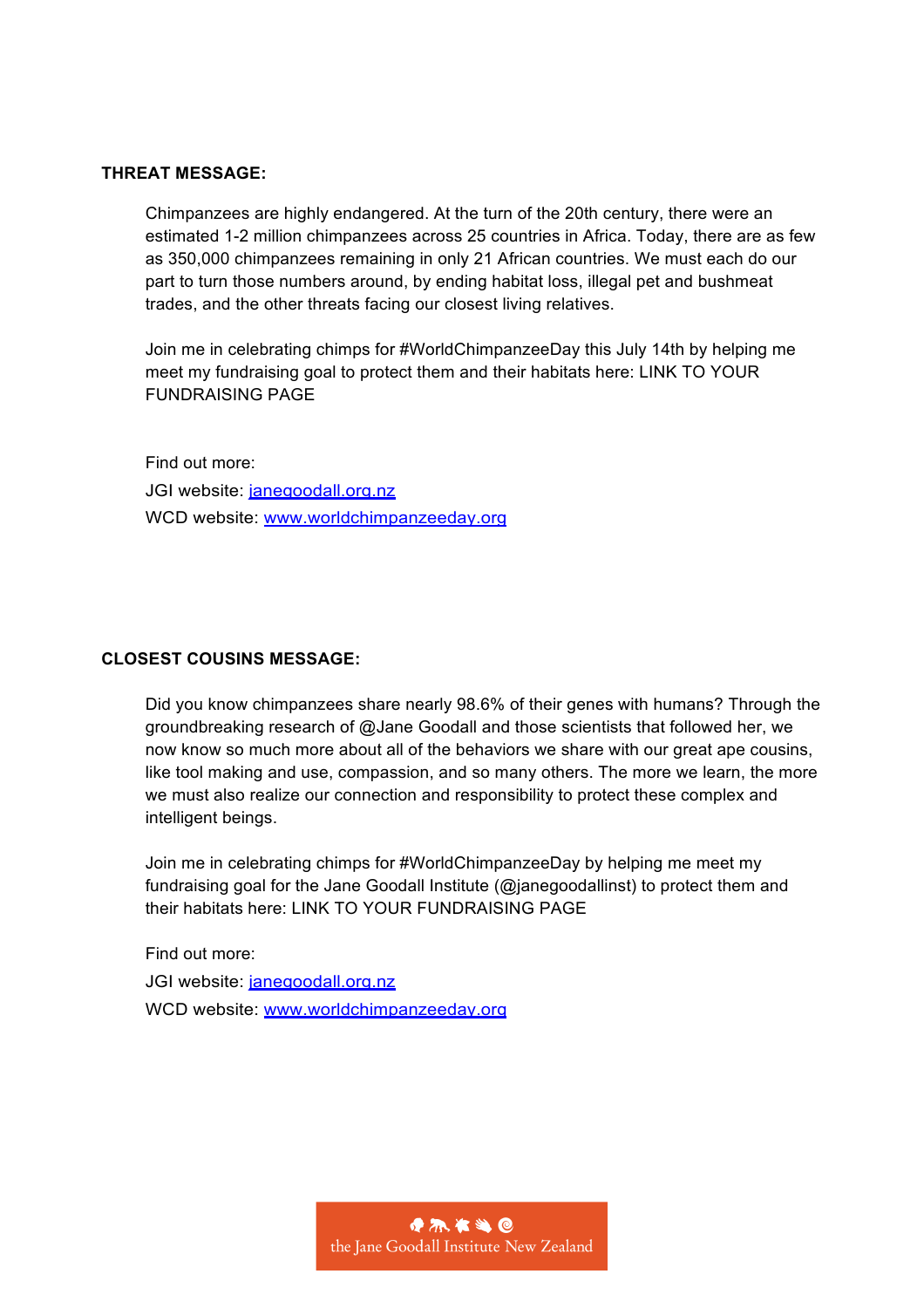#### **THREAT MESSAGE:**

Chimpanzees are highly endangered. At the turn of the 20th century, there were an estimated 1-2 million chimpanzees across 25 countries in Africa. Today, there are as few as 350,000 chimpanzees remaining in only 21 African countries. We must each do our part to turn those numbers around, by ending habitat loss, illegal pet and bushmeat trades, and the other threats facing our closest living relatives.

Join me in celebrating chimps for #WorldChimpanzeeDay this July 14th by helping me meet my fundraising goal to protect them and their habitats here: LINK TO YOUR FUNDRAISING PAGE

Find out more: JGI website: janegoodall.org.nz WCD website: www.worldchimpanzeeday.org

### **CLOSEST COUSINS MESSAGE:**

Did you know chimpanzees share nearly 98.6% of their genes with humans? Through the groundbreaking research of @Jane Goodall and those scientists that followed her, we now know so much more about all of the behaviors we share with our great ape cousins, like tool making and use, compassion, and so many others. The more we learn, the more we must also realize our connection and responsibility to protect these complex and intelligent beings.

Join me in celebrating chimps for #WorldChimpanzeeDay by helping me meet my fundraising goal for the Jane Goodall Institute (@janegoodallinst) to protect them and their habitats here: LINK TO YOUR FUNDRAISING PAGE

Find out more: JGI website: janegoodall.org.nz WCD website: www.worldchimpanzeeday.org